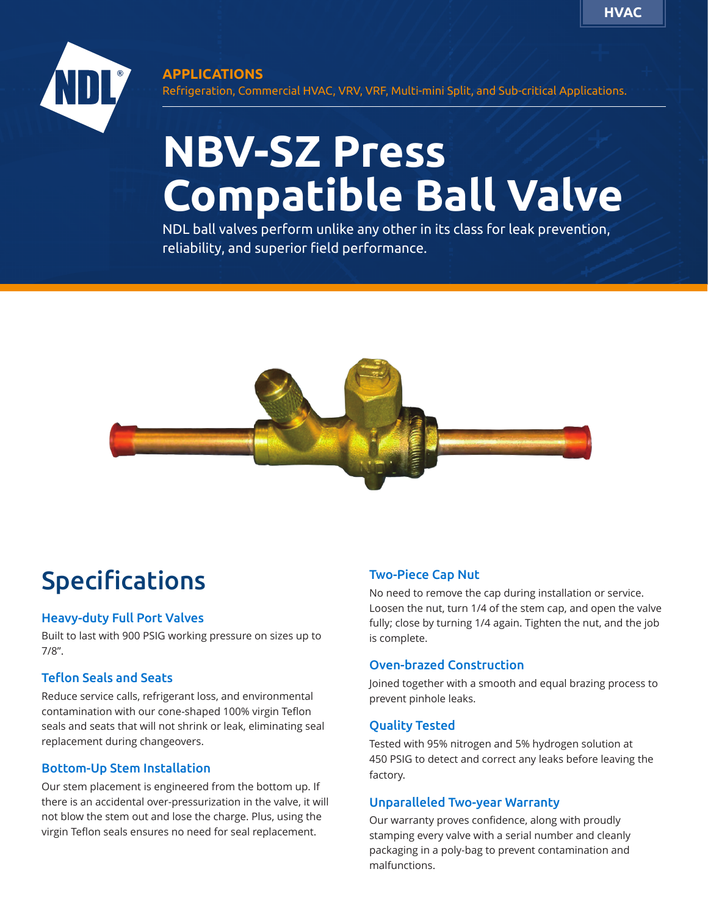

## **APPLICATIONS**

Refrigeration, Commercial HVAC, VRV, VRF, Multi-mini Split, and Sub-critical Applications.

# **NBV-SZ Press Compatible Ball Valve**

NDL ball valves perform unlike any other in its class for leak prevention, reliability, and superior field performance.



# Specifications

#### Heavy-duty Full Port Valves

Built to last with 900 PSIG working pressure on sizes up to 7/8".

#### Teflon Seals and Seats

Reduce service calls, refrigerant loss, and environmental contamination with our cone-shaped 100% virgin Teflon seals and seats that will not shrink or leak, eliminating seal replacement during changeovers.

#### Bottom-Up Stem Installation

Our stem placement is engineered from the bottom up. If there is an accidental over-pressurization in the valve, it will not blow the stem out and lose the charge. Plus, using the virgin Teflon seals ensures no need for seal replacement.

## Two-Piece Cap Nut

No need to remove the cap during installation or service. Loosen the nut, turn 1/4 of the stem cap, and open the valve fully; close by turning 1/4 again. Tighten the nut, and the job is complete.

#### Oven-brazed Construction

Joined together with a smooth and equal brazing process to prevent pinhole leaks.

#### Quality Tested

Tested with 95% nitrogen and 5% hydrogen solution at 450 PSIG to detect and correct any leaks before leaving the factory.

#### Unparalleled Two-year Warranty

Our warranty proves confidence, along with proudly stamping every valve with a serial number and cleanly packaging in a poly-bag to prevent contamination and malfunctions.